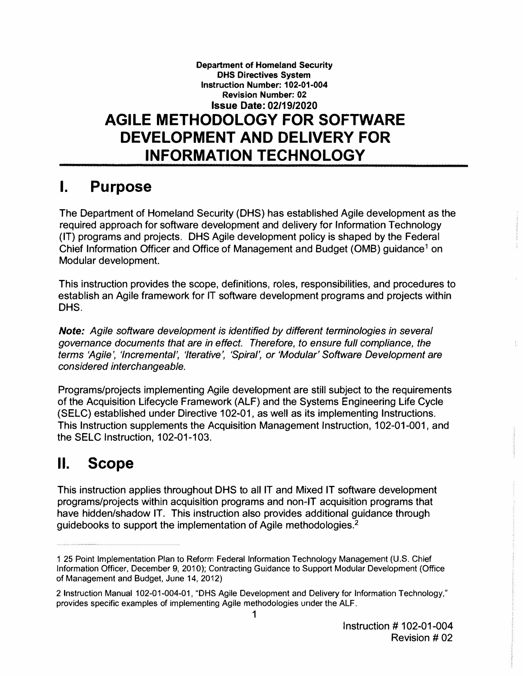#### **Department of Homeland Security DHS Directives System Instruction Number: 102-01-004 Revision Number: 02 Issue Date: 02/19/2020 AGILE METHODOLOGY FOR SOFTWARE DEVELOPMENT AND DELIVERY FOR INFORMATION TECHNOLOGY**

### **I. Purpose**

The Department of Homeland Security (OHS) has established Agile development as the required approach for software development and delivery for Information Technology (IT) programs and projects. OHS Agile development policy is shaped by the Federal Chief Information Officer and Office of Management and Budget (0MB) guidance**<sup>1</sup>**on Modular development.

This instruction provides the scope, definitions, roles, responsibilities, and procedures to establish an Agile framework for IT software development programs and projects within DHS.

*Note: Agile software development is identified by different terminologies in several governance documents that are in effect. Therefore, to ensure full compliance, the terms 'Agile', 'Incremental', 'Iterative', 'Spiral', or 'Modular' Software Development are considered interchangeable.* 

Programs/projects implementing Agile development are still subject to the requirements of the Acquisition Lifecycle Framework (ALF) and the Systems Engineering Life Cycle (SELC) established under Directive 102-01, as well as its implementing Instructions. This Instruction supplements the Acquisition Management Instruction, 102-01-001, and the SELC Instruction, 102-01-103.

# **II. Scope**

This instruction applies throughout OHS to all IT and Mixed IT software development programs/projects within acquisition programs and non-IT acquisition programs that have hidden/shadow IT. This instruction also provides additional guidance through guidebooks to support the implementation of Agile methodologies.**<sup>2</sup>**

<sup>1 25</sup> Point Implementation Plan to Reform Federal Information Technology Management (U.S. Chief Information Officer, December 9, 2010); Contracting Guidance to Support Modular Development (Office of Management and Budget, June 14, 2012)

<sup>2</sup> Instruction Manual 102-01-004-01, "OHS Agile Development and Delivery for Information Technology," provides specific examples of implementing Agile methodologies under the ALF.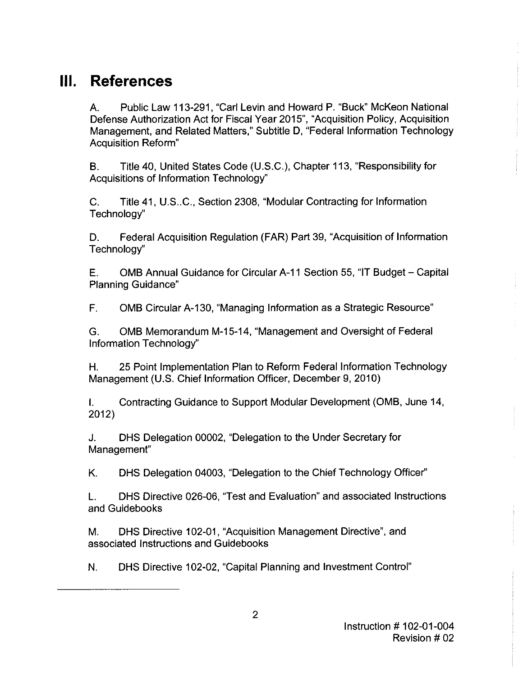## **Ill. References**

A. Public Law 113-291, "Carl Levin and Howard P. "Buck" McKeon National Defense Authorization Act for Fiscal Year 2015", "Acquisition Policy, Acquisition Management, and Related Matters," Subtitle D, "Federal Information Technology Acquisition Reform"

B. Title 40, United States Code (U.S.C.), Chapter 113, "Responsibility for Acquisitions of Information Technology"

C. Title 41, U.S..C., Section 2308, "Modular Contracting for Information Technology"

D. Federal Acquisition Regulation (FAR) Part 39, "Acquisition of Information Technology''

E. 0MB Annual Guidance for Circular A-11 Section 55, "IT Budget- Capital Planning Guidance"

F. 0MB Circular A-130, "Managing Information as a Strategic Resource"

G. 0MB Memorandum M-15-14, "Management and Oversight of Federal Information Technology"

H. 25 Point Implementation Plan to Reform Federal Information Technology Management (U.S. Chief Information Officer, December 9, 2010)

I. Contracting Guidance to Support Modular Development (0MB, June 14, 2012)

J. OHS Delegation 00002, "Delegation to the Under Secretary for Management"

K. OHS Delegation 04003, "Delegation to the Chief Technology Officer"

L. OHS Directive 026-06, "Test and Evaluation" and associated Instructions and Guidebooks

M. OHS Directive 102-01, "Acquisition Management Directive", and associated Instructions and Guidebooks

N. OHS Directive 102-02, "Capital Planning and Investment Control"

 $\frac{1}{2}$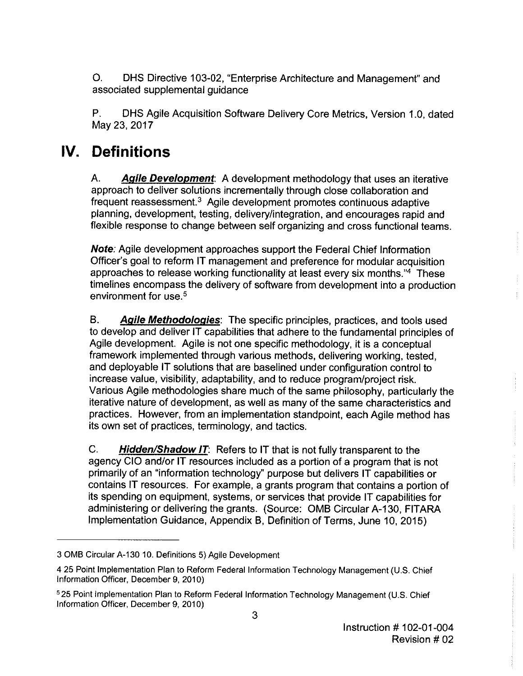0. DHS Directive 103-02, "Enterprise Architecture and Management" and associated supplemental guidance

P. DHS Agile Acquisition Software Delivery Core Metrics, Version 1.0, dated May 23, 2017

## **IV. Definitions**

A. **Agile Development:** A development methodology that uses an iterative approach to deliver solutions incrementally through close collaboration and frequent reassessment.<sup>3</sup> Agile development promotes continuous adaptive planning, development, testing, delivery/integration, and encourages rapid and flexible response to change between self organizing and cross functional teams.

**Note:** Agile development approaches support the Federal Chief Information Officer's goal to reform IT management and preference for modular acquisition approaches to release working functionality at least every six months."4 These timelines encompass the delivery of software from development into a production environment for use.<sup>5</sup>

B. **Agile Methodologies:** The specific principles, practices, and tools used to develop and deliver IT capabilities that adhere to the fundamental principles of Agile development. Agile is not one specific methodology, it is a conceptual framework implemented through various methods, delivering working, tested, and deployable IT solutions that are baselined under configuration control to increase value, visibility, adaptability, and to reduce program/project risk. Various Agile methodologies share much of the same philosophy, particularly the iterative nature of development, as well as many of the same characteristics and practices. However, from an implementation standpoint, each Agile method has its own set of practices, terminology, and tactics.

C. **Hidden/Shadow IT:** Refers to IT that is not fully transparent to the agency CIO and/or IT resources included as a portion of a program that is not primarily of an "information technology'' purpose but delivers IT capabilities or contains IT resources. For example, a grants program that contains a portion of its spending on equipment, systems, or services that provide IT capabilities for administering or delivering the grants. (Source: 0MB Circular A-130, FITARA Implementation Guidance, Appendix 8, Definition of Terms, June 10, 2015)

<sup>3 0</sup>MB Circular A-130 10. Definitions 5) Agile Development

<sup>4 25</sup> Point Implementation Plan to Reform Federal Information Technology Management (U.S. Chief Information Officer, December 9, 2010)

<sup>5 25</sup> Point Implementation Plan to Reform Federal Information Technology Management (U.S. Chief Information Officer, December 9, 2010)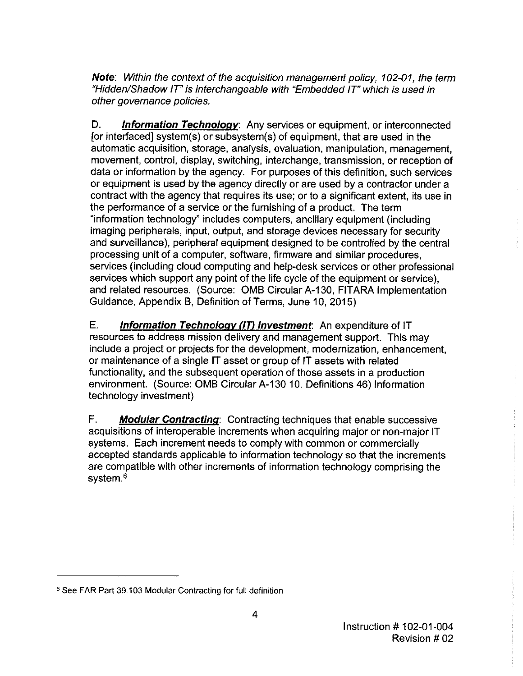**Note:** Within the context of the acquisition management policy, 102-01, the term "Hidden/Shadow IT" is interchangeable with "Embedded IT" which is used in other governance policies.

D. **Information Technology:** Any services or equipment, or interconnected [or interfaced] system(s) or subsystem(s) of equipment, that are used in the automatic acquisition, storage, analysis, evaluation, manipulation, management, movement, control, display, switching, interchange, transmission, or reception of data or information by the agency. For purposes of this definition, such services or equipment is used by the agency directly or are used by a contractor under a contract with the agency that requires its use; or to a significant extent, its use in the performance of a service or the furnishing of a product. The term "information technology" includes computers, ancillary equipment (including imaging peripherals, input, output, and storage devices necessary for security and surveillance), peripheral equipment designed to be controlled by the central processing unit of a computer, software, firmware and similar procedures, services (including cloud computing and help-desk services or other professional services which support any point of the life cycle of the equipment or service), and related resources. (Source: 0MB Circular A-130, FITARA Implementation Guidance, Appendix B, Definition of Terms, June 10, 2015)

E. **Information Technology (IT) Investment:** An expenditure of IT resources to address mission delivery and management support. This may include a project or projects for the development, modernization, enhancement, or maintenance of a single IT asset or group of IT assets with related functionality, and the subsequent operation of those assets in a production environment. (Source: 0MB Circular A-130 10. Definitions 46) Information technology investment)

F. **Modular Contracting:** Contracting techniques that enable successive acquisitions of interoperable increments when acquiring major or non-major IT systems. Each increment needs to comply with common or commercially accepted standards applicable to information technology so that the increments are compatible with other increments of information technology comprising the system.<sup>6</sup>

<sup>6</sup> See FAR Part 39.103 Modular Contracting for full definition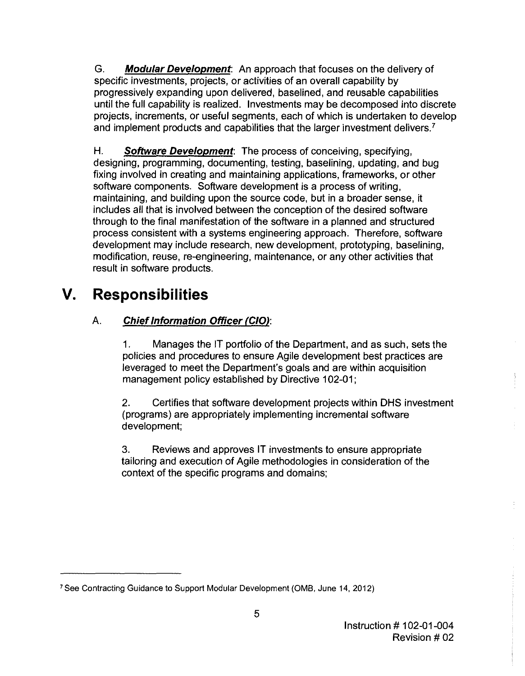G. **Modular Development:** An approach that focuses on the delivery of specific investments, projects, or activities of an overall capability by progressively expanding upon delivered, baselined, and reusable capabilities until the full capability is realized. Investments may be decomposed into discrete projects, increments, or useful segments, each of which is undertaken to develop and implement products and capabilities that the larger investment delivers. <sup>7</sup>

**H. Software Development:** The process of conceiving, specifying, designing, programming, documenting, testing, baselining, updating, and bug fixing involved in creating and maintaining applications, frameworks, or other software components. Software development is a process of writing, maintaining, and building upon the source code, but in a broader sense, it includes all that is involved between the conception of the desired software through to the final manifestation of the software in a planned and structured process consistent with a systems engineering approach. Therefore, software development may include research, new development, prototyping, baselining, modification, reuse, re-engineering, maintenance, or any other activities that result in software products.

# **V. Responsibilities**

### A. **Chief Information Officer (CIO):**

1. Manages the IT portfolio of the Department, and as such, sets the policies and procedures to ensure Agile development best practices are leveraged to meet the Department's goals and are within acquisition management policy established by Directive 102-01;

2. Certifies that software development projects within OHS investment (programs) are appropriately implementing incremental software development;

3. Reviews and approves IT investments to ensure appropriate tailoring and execution of Agile methodologies in consideration of the context of the specific programs and domains;

<sup>7</sup> See Contracting Guidance to Support Modular Development (0MB, June 14, 2012)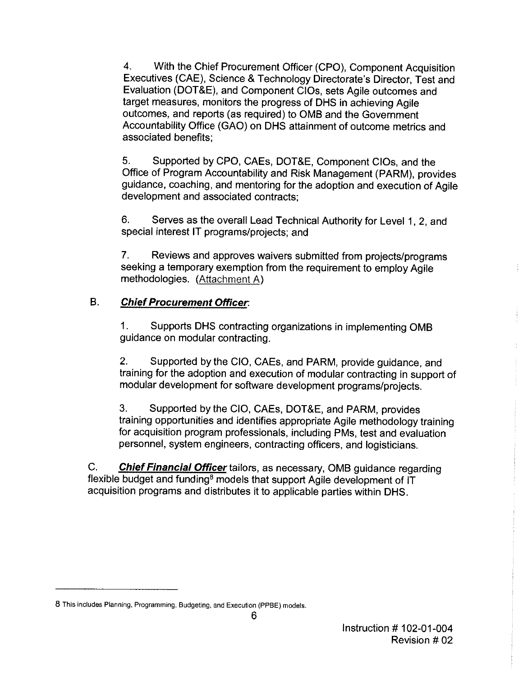4. With the Chief Procurement Officer (CPO), Component Acquisition Executives (CAE), Science & Technology Directorate's Director, Test and Evaluation (DOT&E), and Component CIOs, sets Agile outcomes and target measures, monitors the progress of DHS in achieving Agile outcomes, and reports (as required) to 0MB and the Government Accountability Office (GAO) on DHS attainment of outcome metrics and associated benefits;

5. Supported by CPO, CAEs, DOT&E, Component CIOs, and the Office of Program Accountability and Risk Management (PARM), provides guidance, coaching, and mentoring for the adoption and execution of Agile development and associated contracts;

6. Serves as the overall Lead Technical Authority for Level 1, 2, and special interest IT programs/projects; and

7. Reviews and approves waivers submitted from projects/programs seeking a temporary exemption from the requirement to employ Agile methodologies. (Attachment A)

#### B. **Chief Procurement Officer:**

1. Supports DHS contracting organizations in implementing 0MB guidance on modular contracting.

2. Supported by the CIO, CAEs, and PARM, provide guidance, and training for the adoption and execution of modular contracting in support of modular development for software development programs/projects.

3. Supported by the CIO, CAEs, DOT&E, and PARM, provides training opportunities and identifies appropriate Agile methodology training for acquisition program professionals, including PMs, test and evaluation personnel, system engineers, contracting officers, and logisticians.

C. **Chief Financial Officer** tailors, as necessary, 0MB guidance regarding flexible budget and funding<sup>8</sup> models that support Agile development of IT acquisition programs and distributes it to applicable parties within DHS.

**<sup>8</sup> This includes Planning, Programming, Budgeting, and Execution (PPBE) models.**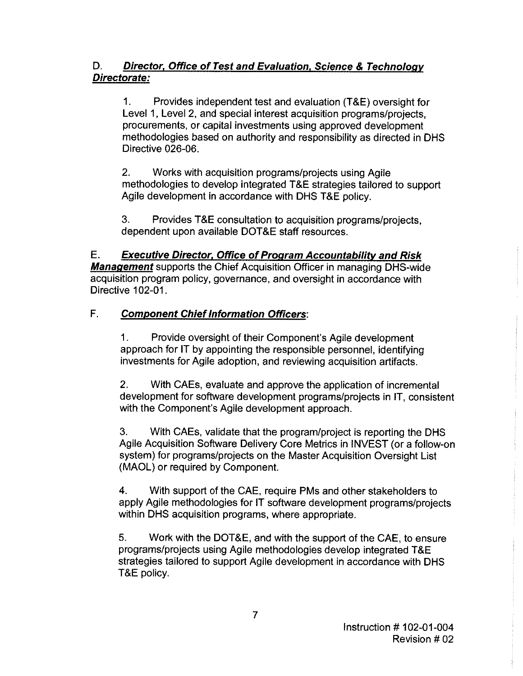#### D. **Director, Office of Test and Evaluation. Science & Technology Directorate:**

1. Provides independent test and evaluation (T&E) oversight for Level 1, Level 2, and special interest acquisition programs/projects, procurements, or capital investments using approved development methodologies based on authority and responsibility as directed in OHS Directive 026-06.

2. Works with acquisition programs/projects using Agile methodologies to develop integrated T&E strategies tailored to support Agile development in accordance with OHS T&E policy.

3. Provides T&E consultation to acquisition programs/projects, dependent upon available DOT&E staff resources.

#### E. **Executive Director. Office of Program Accountability and Risk**

**Management** supports the Chief Acquisition Officer in managing OHS-wide acquisition program policy, governance, and oversight in accordance with Directive 102-01.

#### F. **Component Chief Information Officers:**

1. Provide oversight of their Component's Agile development approach for IT by appointing the responsible personnel, identifying investments for Agile adoption, and reviewing acquisition artifacts.

2. With CAEs, evaluate and approve the application of incremental development for software development programs/projects in IT, consistent with the Component's Agile development approach.

3. With CAEs, validate that the program/project is reporting the OHS Agile Acquisition Software Delivery Core Metrics in INVEST (or a follow-on system) for programs/projects on the Master Acquisition Oversight List (MAOL) or required by Component.

4. With support of the CAE, require PMs and other stakeholders to apply Agile methodologies for IT software development programs/projects within OHS acquisition programs, where appropriate.

5. Work with the DOT&E, and with the support of the CAE, to ensure programs/projects using Agile methodologies develop integrated T&E strategies tailored to support Agile development in accordance with OHS T&E policy.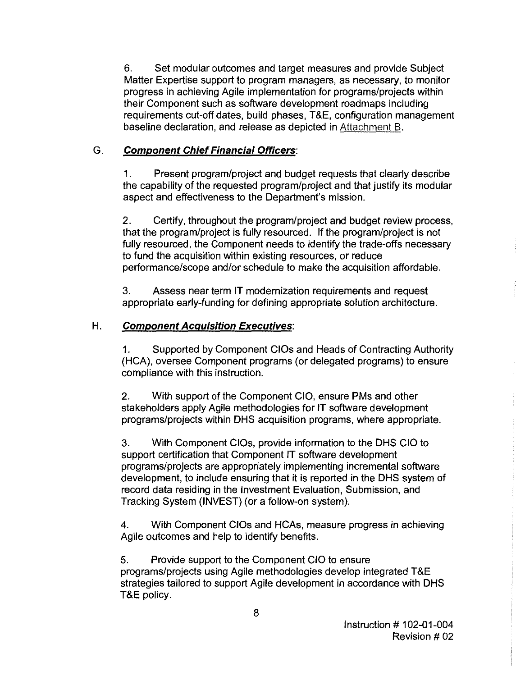6. Set modular outcomes and target measures and provide Subject Matter Expertise support to program managers, as necessary, to monitor progress in achieving Agile implementation for programs/projects within their Component such as software development roadmaps including requirements cut-off dates, build phases, T&E, configuration management baseline declaration, and release as depicted in Attachment B.

#### G. **Component Chief Financial Officers:**

1. Present program/project and budget requests that clearly describe the capability of the requested program/project and that justify its modular aspect and effectiveness to the Department's mission.

2. Certify, throughout the program/project and budget review process, that the program/project is fully resourced. If the program/project is not fully resourced, the Component needs to identify the trade-offs necessary to fund the acquisition within existing resources, or reduce performance/scope and/or schedule to make the acquisition affordable.

3. Assess near term IT modernization requirements and request appropriate early-funding for defining appropriate solution architecture.

#### H. **Component Acquisition Executives:**

1. Supported by Component CIOs and Heads of Contracting Authority (HCA), oversee Component programs (or delegated programs) to ensure compliance with this instruction.

2. With support of the Component CIO, ensure PMs and other stakeholders apply Agile methodologies for IT software development programs/projects within DHS acquisition programs, where appropriate.

3. With Component CIOs, provide information to the DHS CIO to support certification that Component IT software development programs/projects are appropriately implementing incremental software development, to include ensuring that it is reported in the DHS system of record data residing in the Investment Evaluation, Submission, and Tracking System (INVEST) (or a follow-on system).

4. With Component CIOs and HCAs, measure progress in achieving Agile outcomes and help to identify benefits.

5. Provide support to the Component CIO to ensure programs/projects using Agile methodologies develop integrated T&E strategies tailored to support Agile development in accordance with DHS T&E policy.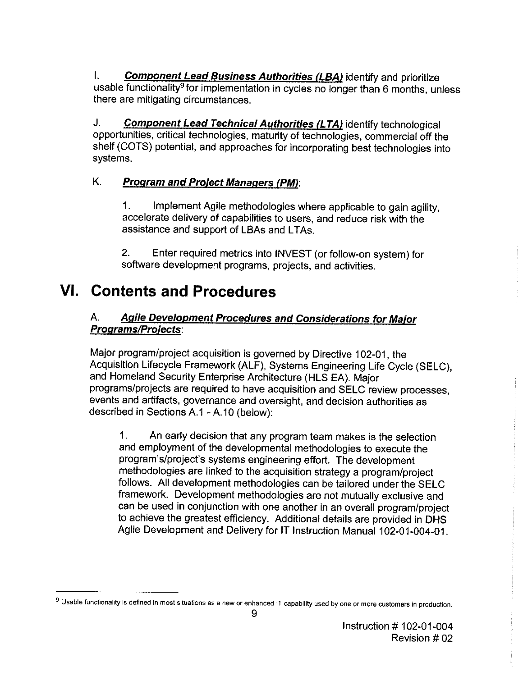I. **Component Lead Business Authorities (LBA)** identify and prioritize usable functionality<sup>9</sup> for implementation in cycles no longer than 6 months, unless there are mitigating circumstances.

J. **Component Lead Technical Authorities (LTA)** identify technological opportunities, critical technologies, maturity of technologies, commercial off the shelf (COTS) potential, and approaches for incorporating best technologies into systems.

#### K. **Program and Proiect Managers (PM):**

1. Implement Agile methodologies where applicable to gain agility, accelerate delivery of capabilities to users, and reduce risk with the assistance and support of LBAs and **L**TAs.

2. Enter required metrics into INVEST (or follow-on system) for software development programs, projects, and activities.

## **VI. Contents and Procedures**

#### A. **Agile Development Procedures and Considerations for Maior Programs/Proiects:**

Major program/project acquisition is governed by Directive 102-01, the Acquisition Lifecycle Framework (ALF), Systems Engineering Life Cycle (SELC), and Homeland Security Enterprise Architecture (HLS EA). Major programs/projects are required to have acquisition and SELC review processes, events and artifacts, governance and oversight, and decision authorities as described in Sections A.1 - A.10 (below):

1. An early decision that any program team makes is the selection and employment of the developmental methodologies to execute the program's/project's systems engineering effort. The development methodologies are linked to the acquisition strategy a program/project follows. All development methodologies can be tailored under the SELC framework. Development methodologies are not mutually exclusive and can be used in conjunction with one another in an overall program/project to achieve the greatest efficiency. Additional details are provided in DHS Agile Development and Delivery for IT Instruction Manual 102-01-004-01.

<sup>9</sup>**Usable functionality is defined in most situations as a new or enhanced lT capability used by one or more customers in production.**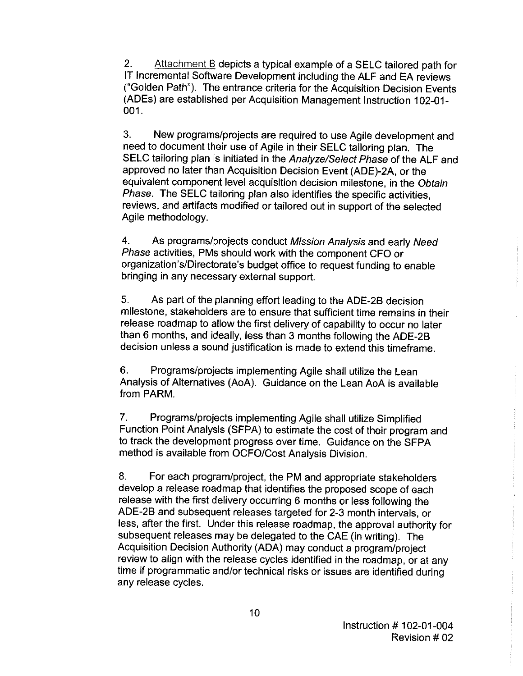2. Attachment B depicts a typical example of a SELC tailored path for IT Incremental Software Development including the ALF and EA reviews ("Golden Path"). The entrance criteria for the Acquisition Decision Events (ADEs) are established per Acquisition Management Instruction 102-01- 001.

3. New programs/projects are required to use Agile development and need to document their use of Agile in their SELC tailoring plan. The SELC tailoring plan is initiated in the Analyze/Select Phase of the ALF and approved no later than Acquisition Decision Event (ADE)-2A, or the equivalent component level acquisition decision milestone, in the Obtain Phase. The SELC tailoring plan also identifies the specific activities, reviews, and artifacts modified or tailored out in support of the selected Agile methodology.

4. As programs/projects conduct Mission Analysis and early Need Phase activities, PMs should work with the component CFO or organization's/Directorate's budget office to request funding to enable bringing in any necessary external support.

5. As part of the planning effort leading to the ADE-28 decision milestone, stakeholders are to ensure that sufficient time remains in their release roadmap to allow the first delivery of capability to occur no later than 6 months, and ideally, less than 3 months following the ADE-28 decision unless a sound justification is made to extend this timeframe.

6. Programs/projects implementing Agile shall utilize the Lean Analysis of Alternatives (AoA). Guidance on the Lean AoA is available from PARM.

7. Programs/projects implementing Agile shall utilize Simplified Function Point Analysis (SFPA) to estimate the cost of their program and to track the development progress over time. Guidance on the SFPA method is available from OCFO/Cost Analysis Division.

8. For each program/project, the PM and appropriate stakeholders develop a release roadmap that identifies the proposed scope of each release with the first delivery occurring 6 months or less following the ADE-28 and subsequent releases targeted for 2-3 month intervals, or less, after the first. Under this release roadmap, the approval authority for subsequent releases may be delegated to the CAE (in writing). The Acquisition Decision Authority (ADA) may conduct a program/project review to align with the release cycles identified in the roadmap, or at any time if programmatic and/or technical risks or issues are identified during any release cycles.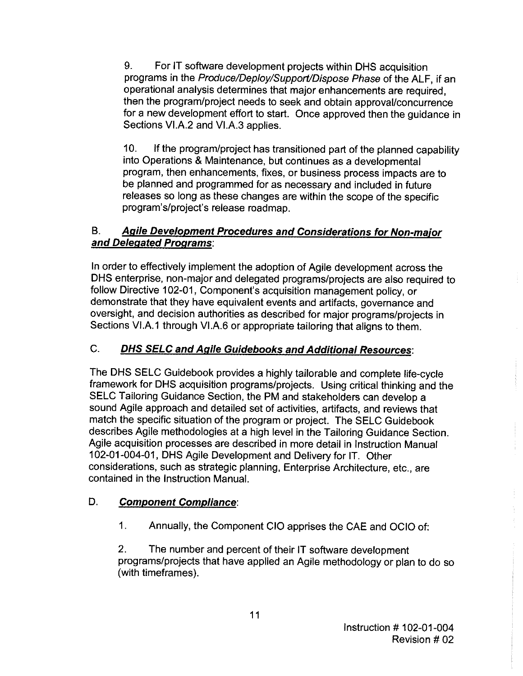9. For IT software development projects within DHS acquisition programs in the Produce/Deploy/Support/Dispose Phase of the ALF, if an operational analysis determines that major enhancements are required, then the program/project needs to seek and obtain approval/concurrence for a new development effort to start. Once approved then the guidance in Sections VI.A.2 and VI.A.3 applies.

10. If the program/project has transitioned part of the planned capability into Operations & Maintenance, but continues as a developmental program, then enhancements, fixes, or business process impacts are to be planned and programmed for as necessary and included in future releases so long as these changes are within the scope of the specific program's/project's release roadmap.

#### B. **Agile Development Procedures and Considerations for Non-maior and Delegated Programs:**

In order to effectively implement the adoption of Agile development across the DHS enterprise, non-major and delegated programs/projects are also required to follow Directive 102-01, Component's acquisition management policy, or demonstrate that they have equivalent events and artifacts, governance and oversight, and decision authorities as described for major programs/projects in Sections VI.A.1 through VI.A.6 or appropriate tailoring that aligns to them.

#### C. **DHS SELC and Agile Guidebooks and Additional Resources:**

The DHS SELC Guidebook provides a highly tailorable and complete life-cycle framework for DHS acquisition programs/projects. Using critical thinking and the SELC Tailoring Guidance Section, the PM and stakeholders can develop a sound Agile approach and detailed set of activities, artifacts, and reviews that match the specific situation of the program or project. The SELC Guidebook describes Agile methodologies at a high level in the Tailoring Guidance Section. Agile acquisition processes are described in more detail in Instruction Manual 102-01-004-01, DHS Agile Development and Delivery for IT. Other considerations, such as strategic planning, Enterprise Architecture, etc., are contained in the Instruction Manual.

#### D. **Component Compliance:**

1. Annually, the Component CIO apprises the CAE and OCIO of:

2. The number and percent of their IT software development programs/projects that have applied an Agile methodology or plan to do so (with timeframes).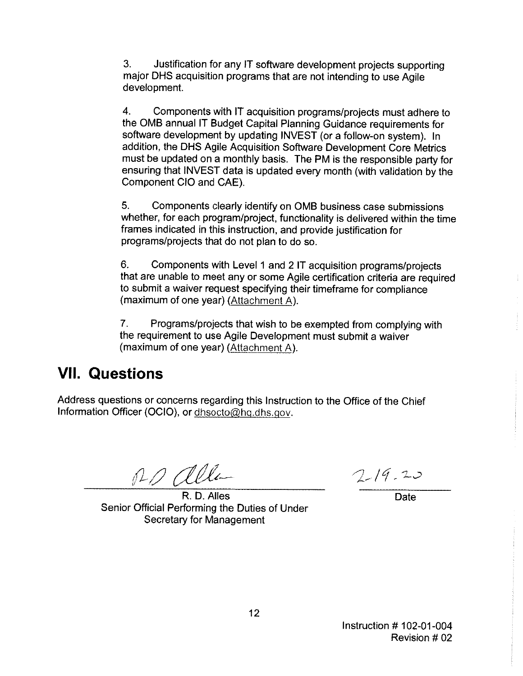3. Justification for any IT software development projects supporting major OHS acquisition programs that are not intending to use Agile development.

4. Components with IT acquisition programs/projects must adhere to the 0MB annual IT Budget Capital Planning Guidance requirements for software development by updating INVEST (or a follow-on system). In addition, the OHS Agile Acquisition Software Development Core Metrics must be updated on a monthly basis. The PM is the responsible party for ensuring that INVEST data is updated every month (with validation by the Component CIO and CAE).

5. Components clearly identify on 0MB business case submissions whether, for each program/project, functionality is delivered within the time frames indicated in this instruction, and provide justification for programs/projects that do not plan to do so.

6. Components with Level 1 and 2 IT acquisition programs/projects that are unable to meet any or some Agile certification criteria are required to submit a waiver request specifying their timeframe for compliance (maximum of one year) (Attachment A).

7. Programs/projects that wish to be exempted from complying with the requirement to use Agile Development must submit a waiver (maximum of one year) (Attachment A).

### **VII. Questions**

Address questions or concerns regarding this Instruction to the Office of the Chief Information Officer (OCIO), or [dhsocto@hq.dhs.gov](mailto:dhsocto@hq.dhs.gov).

RD alla

R. D. Alles Date Senior Official Performing the Duties of Under Secretary for Management

 $2-19.20$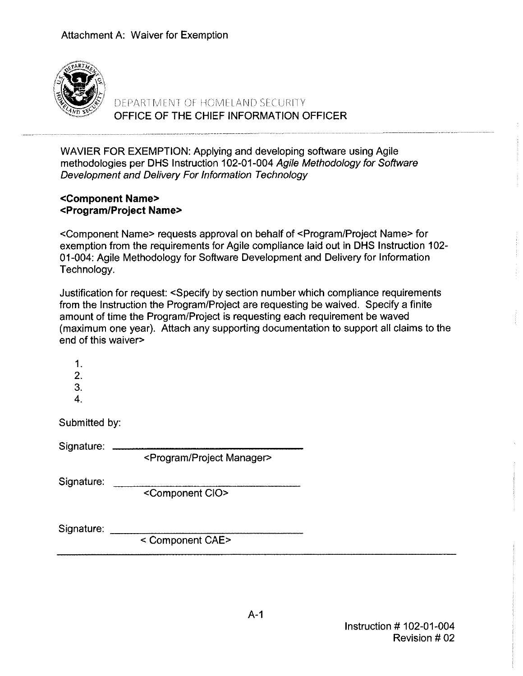

----··-·---------- ------ OFFICE OF THE CHIEF INFORMATION OFFICER DEPARTMENT OF HOMELAND SECURITY

WAVIER FOR EXEMPTION: Applying and developing software using Agile methodologies per OHS Instruction 102-01-004 Agile Methodology for Software Development and Delivery For Information Technology

#### **<Component Name> <Program/Project Name>**

<Component Name> requests approval on behalf of <Program/Project Name> for exemption from the requirements for Agile compliance laid out in OHS Instruction 102- 01-004: Agile Methodology for Software Development and Delivery for Information Technology.

Justification for request: <Specify by section number which compliance requirements from the Instruction the Program/Project are requesting be waived. Specify a finite amount of time the Program/Project is requesting each requirement be waved (maximum one year). Attach any supporting documentation to support all claims to the end of this waiver>

| 1.<br>2.<br>3.<br>4. |                                           |  |
|----------------------|-------------------------------------------|--|
| Submitted by:        |                                           |  |
| Signature:           | <program manager="" project=""></program> |  |
| Signature:           | <component cio=""></component>            |  |
| Signature:           | < Component CAE>                          |  |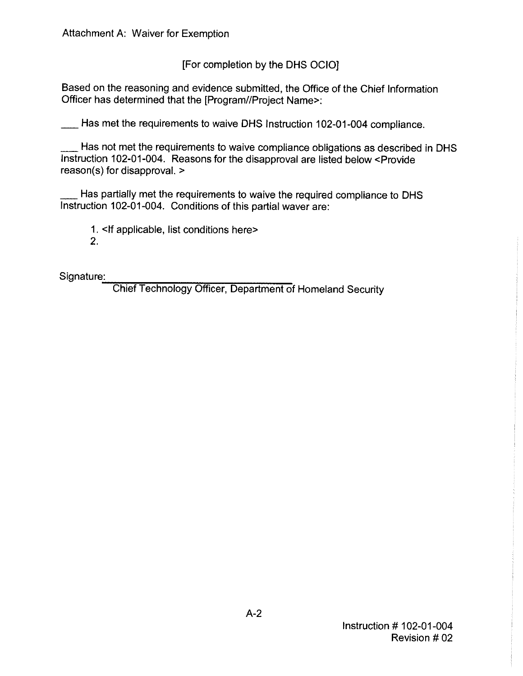[For completion by the OHS OCIO]

Based on the reasoning and evidence submitted, the Office of the Chief Information Officer has determined that the [Program//Project Name>:

Has met the requirements to waive DHS Instruction 102-01-004 compliance.

Has not met the requirements to waive compliance obligations as described in DHS Instruction 102-01-004. Reasons for the disapproval are listed below <Provide reason(s) for disapproval. >

Has partially met the requirements to waive the required compliance to DHS Instruction 102-01-004. Conditions of this partial waver are:

1. <If applicable, list conditions here>

2.

Signature:

\_.;.:\_,,,.,..,...-,,-,:--,--,---,=-~,----,--~ Chief Technology Officer, Department of Homeland Security